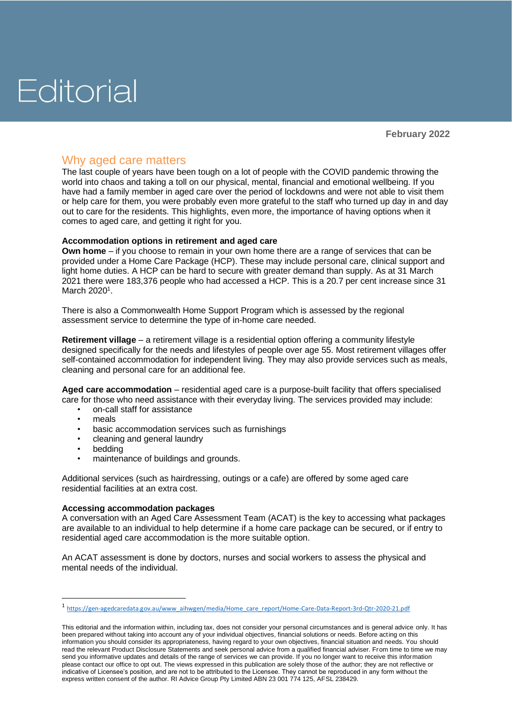## Why aged care matters

The last couple of years have been tough on a lot of people with the COVID pandemic throwing the world into chaos and taking a toll on our physical, mental, financial and emotional wellbeing. If you have had a family member in aged care over the period of lockdowns and were not able to visit them or help care for them, you were probably even more grateful to the staff who turned up day in and day out to care for the residents. This highlights, even more, the importance of having options when it comes to aged care, and getting it right for you.

### **Accommodation options in retirement and aged care**

**Own home** – if you choose to remain in your own home there are a range of services that can be provided under a Home Care Package (HCP). These may include personal care, clinical support and light home duties. A HCP can be hard to secure with greater demand than supply. As at 31 March 2021 there were 183,376 people who had accessed a HCP. This is a 20.7 per cent increase since 31 March 2020<sup>1</sup>.

There is also a Commonwealth Home Support Program which is assessed by the regional assessment service to determine the type of in-home care needed.

**Retirement village** – a retirement village is a residential option offering a community lifestyle designed specifically for the needs and lifestyles of people over age 55. Most retirement villages offer self-contained accommodation for independent living. They may also provide services such as meals, cleaning and personal care for an additional fee.

**Aged care accommodation** – residential aged care is a purpose-built facility that offers specialised care for those who need assistance with their everyday living. The services provided may include:

- on-call staff for assistance
- meals
- basic accommodation services such as furnishings
- cleaning and general laundry
- bedding
- maintenance of buildings and grounds.

Additional services (such as hairdressing, outings or a cafe) are offered by some aged care residential facilities at an extra cost.

### **Accessing accommodation packages**

A conversation with an Aged Care Assessment Team (ACAT) is the key to accessing what packages are available to an individual to help determine if a home care package can be secured, or if entry to residential aged care accommodation is the more suitable option.

An ACAT assessment is done by doctors, nurses and social workers to assess the physical and mental needs of the individual.

<sup>1</sup> [https://gen-agedcaredata.gov.au/www\\_aihwgen/media/Home\\_care\\_report/Home-Care-Data-Report-3rd-Qtr-2020-21.pdf](https://gen-agedcaredata.gov.au/www_aihwgen/media/Home_care_report/Home-Care-Data-Report-3rd-Qtr-2020-21.pdf)

This editorial and the information within, including tax, does not consider your personal circumstances and is general advice only. It has been prepared without taking into account any of your individual objectives, financial solutions or needs. Before acting on this information you should consider its appropriateness, having regard to your own objectives, financial situation and needs. You should read the relevant Product Disclosure Statements and seek personal advice from a qualified financial adviser. From time to time we may send you informative updates and details of the range of services we can provide. If you no longer want to receive this information please contact our office to opt out. The views expressed in this publication are solely those of the author; they are not reflective or indicative of Licensee's position, and are not to be attributed to the Licensee. They cannot be reproduced in any form without the express written consent of the author. RI Advice Group Pty Limited ABN 23 001 774 125, AFSL 238429.